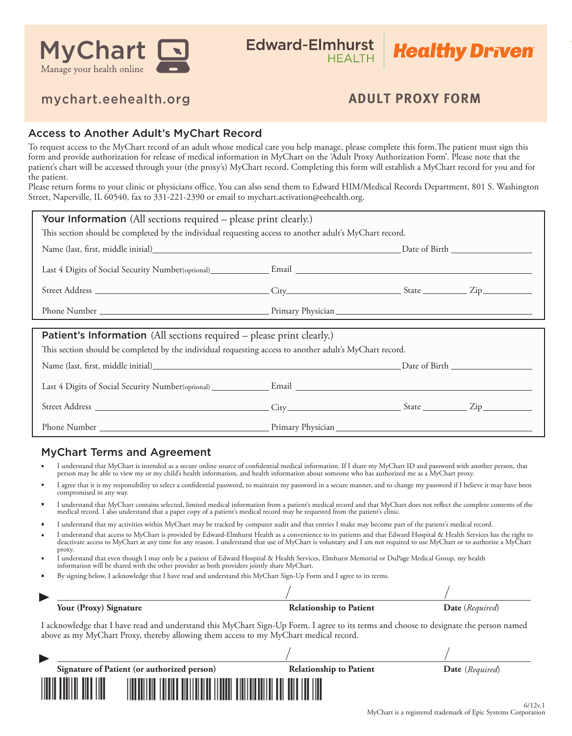

# **Healthy Driven**

# mychart.eehealth.org **ADULT PROXY FORM**

### Access to Another Adult's MyChart Record

To request access to the MyChart record of an adult whose medical care you help manage, please complete this form. The patient must sign this form and provide authorization for release of medical information in MyChart on the 'Adult Proxy Authorization Form'. Please note that the patient's chart will be accessed through your (the proxy's) MyChart record. Completing this form will establish a MyChart record for you and for the patient.

Please return forms to your clinic or physicians office. You can also send them to Edward HIM/Medical Records Department, 801 S. Washington Street, Naperville, IL 60540, fax to 331-221-2390 or email to mychart.activation@eehealth.org.

| <b>Your Information</b> (All sections required – please print clearly.)                                                                                                                                                                                                                                                                                      |  |  |  |  |  |
|--------------------------------------------------------------------------------------------------------------------------------------------------------------------------------------------------------------------------------------------------------------------------------------------------------------------------------------------------------------|--|--|--|--|--|
| This section should be completed by the individual requesting access to another adult's MyChart record.                                                                                                                                                                                                                                                      |  |  |  |  |  |
|                                                                                                                                                                                                                                                                                                                                                              |  |  |  |  |  |
|                                                                                                                                                                                                                                                                                                                                                              |  |  |  |  |  |
|                                                                                                                                                                                                                                                                                                                                                              |  |  |  |  |  |
|                                                                                                                                                                                                                                                                                                                                                              |  |  |  |  |  |
| Patient's Information (All sections required - please print clearly.)<br>This section should be completed by the individual requesting access to another adult's MyChart record.                                                                                                                                                                             |  |  |  |  |  |
|                                                                                                                                                                                                                                                                                                                                                              |  |  |  |  |  |
|                                                                                                                                                                                                                                                                                                                                                              |  |  |  |  |  |
|                                                                                                                                                                                                                                                                                                                                                              |  |  |  |  |  |
| <b>MyChart Terms and Agreement</b><br>I understand that MyChart is intended as a secure online source of confidential medical information. If I share my MyChart ID and password with another person, that<br>person may be able to view my or my child's health information, and health information about someone who has authorized me as a MyChart proxy. |  |  |  |  |  |
| Lagree that it is my responsibility to select a confidential password, to maintain my password in a secure manner, and to change my password if I believe it may have been                                                                                                                                                                                   |  |  |  |  |  |

- I agree that it is my responsibility to select a condential password, to maintain my password in a secure manner, and to change my password if I believe it may have been compromised in any way.
- I understand that MyChart contains selected, limited medical information from a patient's medical record and that MyChart does not reflect the complete contents of the medical record. I also understand that a paper copy of a patient's medical record may be requested from the patient's clinic.
- I understand that my activities within MyChart may be tracked by computer audit and that entries I make may become part of the patient's medical record.
- I understand that access to MyChart is provided by Edward-Elmhurst Health as a convenience to its patients and that Edward Hospital & Health Services has the right to deactivate access to MyChart at any time for any reason. I understand that use of MyChart is voluntary and I am not required to use MyChart or to authorize a MyChart proxy.
- I understand that even though I may only be a patient of Edward Hospital & Health Services, Elmhurst Memorial or DuPage Medical Group, my health information will be shared with the other provider as both providers jointly share MyChart.
- By signing below, I acknowledge that I have read and understand this MyChart Sign-Up Form and I agree to its terms. ×

| Your (Proxy) Signature | <b>Relationship to Patient</b> | <b>Date</b> ( <i>Required</i> ) |
|------------------------|--------------------------------|---------------------------------|

 $\prime$ 

I acknowledge that I have read and understand this MyChart Sign-Up Form. I agree to its terms and choose to designate the person named above as my MyChart Proxy, thereby allowing them access to my MyChart medical record.

| Signature of Patient (or authorized person)                                                                           | <b>Relationship to Patient</b> | Date (Required) |      |
|-----------------------------------------------------------------------------------------------------------------------|--------------------------------|-----------------|------|
| <u> Harry Harry Harry Harry Harry Harry Harry Harry Harry Harry Harry Harry Harry Harry Harry Harry Harry Harry H</u> |                                |                 | 6112 |

 $\overline{1}$